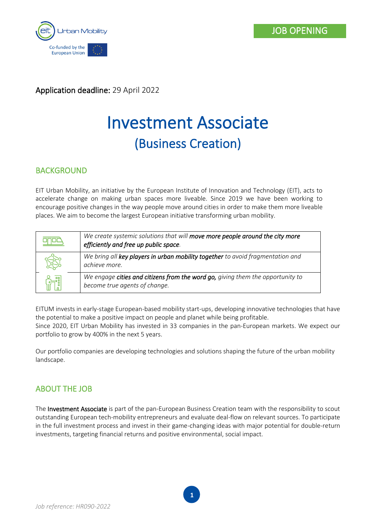

Application deadline: 29 April 2022

# Investment Associate (Business Creation)

# BACKGROUND

EIT Urban Mobility, an initiative by the European Institute of Innovation and Technology (EIT), acts to accelerate change on making urban spaces more liveable. Since 2019 we have been working to encourage positive changes in the way people move around cities in order to make them more liveable places. We aim to become the largest European initiative transforming urban mobility.

| We create systemic solutions that will move more people around the city more<br>efficiently and free up public space. |
|-----------------------------------------------------------------------------------------------------------------------|
| We bring all key players in urban mobility together to avoid fragmentation and<br>achieve more.                       |
| We engage cities and citizens from the word go, giving them the opportunity to<br>become true agents of change.       |

EITUM invests in early-stage European-based mobility start-ups, developing innovative technologies that have the potential to make a positive impact on people and planet while being profitable.

Since 2020, EIT Urban Mobility has invested in 33 companies in the pan-European markets. We expect our portfolio to grow by 400% in the next 5 years.

Our portfolio companies are developing technologies and solutions shaping the future of the urban mobility landscape.

# ABOUT THE JOB

The Investment Associate is part of the pan-European Business Creation team with the responsibility to scout outstanding European tech-mobility entrepreneurs and evaluate deal-flow on relevant sources. To participate in the full investment process and invest in their game-changing ideas with major potential for double-return investments, targeting financial returns and positive environmental, social impact.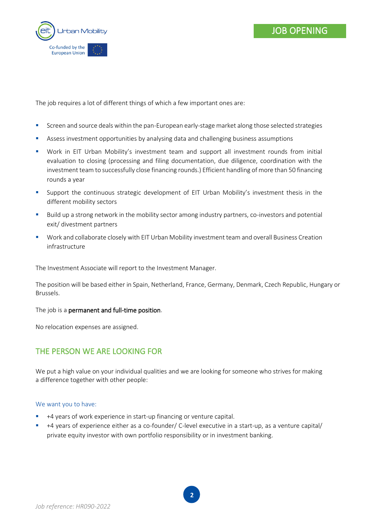

The job requires a lot of different things of which a few important ones are:

- **•** Screen and source deals within the pan-European early-stage market along those selected strategies
- Assess investment opportunities by analysing data and challenging business assumptions
- Work in EIT Urban Mobility's investment team and support all investment rounds from initial evaluation to closing (processing and filing documentation, due diligence, coordination with the investment team to successfully close financing rounds.) Efficient handling of more than 50 financing rounds a year
- Support the continuous strategic development of EIT Urban Mobility's investment thesis in the different mobility sectors
- Build up a strong network in the mobility sector among industry partners, co-investors and potential exit/ divestment partners
- Work and collaborate closely with EIT Urban Mobility investment team and overall Business Creation infrastructure

The Investment Associate will report to the Investment Manager.

The position will be based either in Spain, Netherland, France, Germany, Denmark, Czech Republic, Hungary or Brussels.

The job is a permanent and full-time position.

No relocation expenses are assigned.

## THE PERSON WE ARE LOOKING FOR

We put a high value on your individual qualities and we are looking for someone who strives for making a difference together with other people:

## We want you to have:

- +4 years of work experience in start-up financing or venture capital.
- +4 years of experience either as a co-founder/ C-level executive in a start-up, as a venture capital/ private equity investor with own portfolio responsibility or in investment banking.

**2**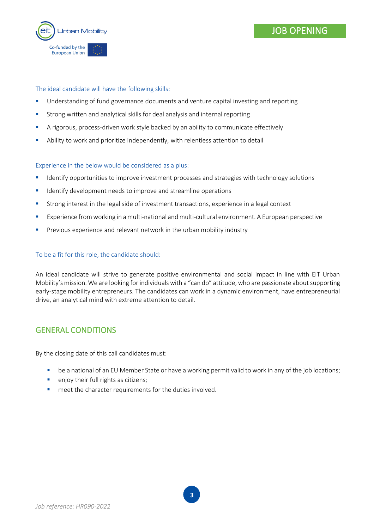



## The ideal candidate will have the following skills:

- **■** Understanding of fund governance documents and venture capital investing and reporting
- Strong written and analytical skills for deal analysis and internal reporting
- A rigorous, process-driven work style backed by an ability to communicate effectively
- Ability to work and prioritize independently, with relentless attention to detail

## Experience in the below would be considered as a plus:

- **■** Identify opportunities to improve investment processes and strategies with technology solutions
- **■** Identify development needs to improve and streamline operations
- **EXECT** Strong interest in the legal side of investment transactions, experience in a legal context
- Experience from working in a multi-national and multi-cultural environment. A European perspective
- **•** Previous experience and relevant network in the urban mobility industry

## To be a fit for this role, the candidate should:

An ideal candidate will strive to generate positive environmental and social impact in line with EIT Urban Mobility's mission. We are looking for individuals with a "can do" attitude, who are passionate about supporting early-stage mobility entrepreneurs. The candidates can work in a dynamic environment, have entrepreneurial drive, an analytical mind with extreme attention to detail.

## GENERAL CONDITIONS

By the closing date of this call candidates must:

- **■** be a national of an EU Member State or have a working permit valid to work in any of the job locations;
- **•** enjoy their full rights as citizens;
- meet the character requirements for the duties involved.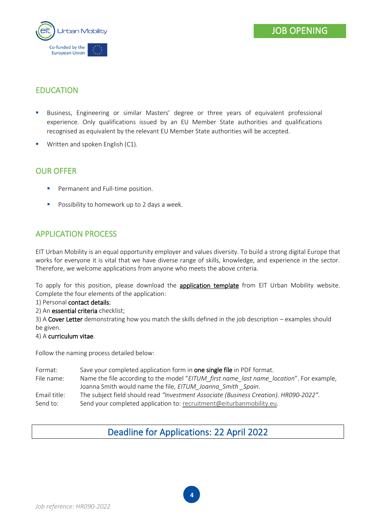

# EDUCATION

- Business, Engineering or similar Masters' degree or three years of equivalent professional experience. Only qualifications issued by an EU Member State authorities and qualifications recognised as equivalent by the relevant EU Member State authorities will be accepted.
- Written and spoken English (C1).

## OUR OFFER

- Permanent and Full-time position.
- Possibility to homework up to 2 days a week.

# APPLICATION PROCESS

EIT Urban Mobility is an equal opportunity employer and values diversity. To build a strong digital Europe that works for everyone it is vital that we have diverse range of skills, knowledge, and experience in the sector. Therefore, we welcome applications from anyone who meets the above criteria.

To apply for this position, please download the **application template** from EIT Urban Mobility website. Complete the four elements of the application:

## 1) Personal contact details;

2) An essential criteria checklist;

3) A Cover Letter demonstrating how you match the skills defined in the job description – examples should be given.

## 4) A curriculum vitae.

Follow the naming process detailed below:

Format: Save your completed application form in **one single file** in PDF format. File name: Name the file according to the model "*EITUM\_first name\_last name\_location*". For example, Joanna Smith would name the file, *EITUM\_Joanna\_Smith \_Spain*. Email title: The subject field should read *"Investment Associate (Business Creation). HR090-2022".* Send to: Send your completed application to: [recruitment@eiturbanmobility.eu.](mailto:recruitment@eiturbanmobility.eu)

# Deadline for Applications: 22 April 2022

**4**